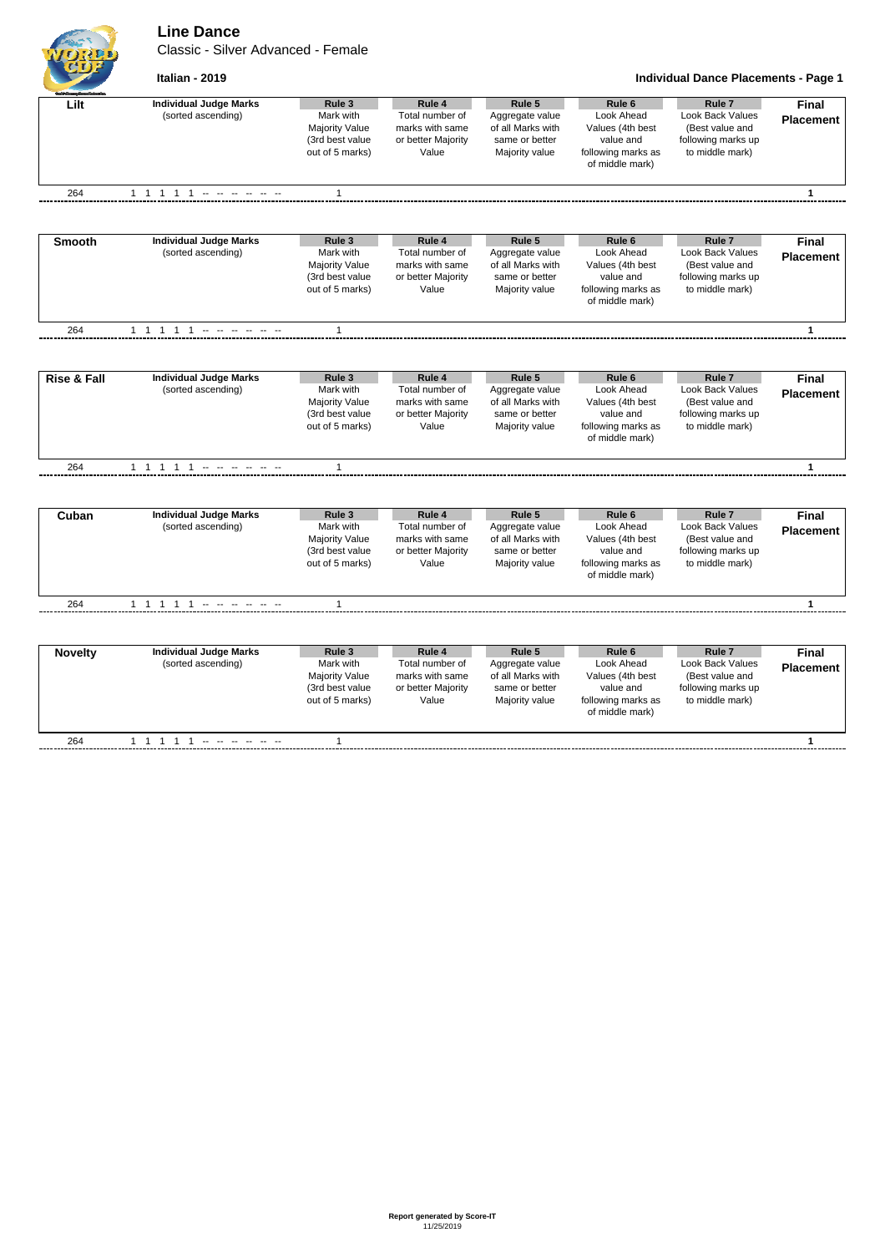## **Line Dance**

Classic - Silver Advanced - Female

**Italian - 2019 Individual Dance Placements - Page 1**

| <b>Final</b><br>Lilt<br>(sorted ascending)<br>Mark with<br>Total number of<br>Aggregate value<br>Look Ahead<br>Look Back Values<br><b>Placement</b><br>Majority Value<br>marks with same<br>of all Marks with<br>Values (4th best<br>(Best value and<br>value and<br>following marks up<br>(3rd best value<br>or better Majority<br>same or better<br>out of 5 marks)<br>to middle mark)<br>Value<br>Majority value<br>following marks as<br>of middle mark)<br>264<br>$\mathbf{1}$<br>$\mathbf{1}$<br>Rule 5<br>Rule <sub>7</sub><br><b>Individual Judge Marks</b><br>Rule 3<br>Rule 4<br>Rule <sub>6</sub><br><b>Smooth</b><br><b>Final</b><br>(sorted ascending)<br>Mark with<br>Look Ahead<br><b>Look Back Values</b><br>Total number of<br>Aggregate value<br><b>Placement</b><br>Majority Value<br>marks with same<br>of all Marks with<br>Values (4th best<br>(Best value and<br>(3rd best value<br>following marks up<br>or better Majority<br>same or better<br>value and<br>out of 5 marks)<br>following marks as<br>to middle mark)<br>Value<br>Majority value<br>of middle mark)<br>264<br>$\mathbf{1}$<br>$\mathbf{1}$<br><b>Individual Judge Marks</b><br>Rule 4<br>Rule 5<br>Rule <sub>7</sub><br>Rule 3<br>Rule <sub>6</sub><br><b>Final</b><br>(sorted ascending)<br>Mark with<br>Total number of<br>Look Ahead<br>Look Back Values<br>Aggregate value<br><b>Placement</b><br>Majority Value<br>marks with same<br>of all Marks with<br>(Best value and<br>Values (4th best<br>(3rd best value<br>or better Majority<br>value and<br>following marks up<br>same or better<br>out of 5 marks)<br>Value<br>following marks as<br>to middle mark)<br>Majority value<br>of middle mark)<br>264<br>1 1 1 1 1 - - - - - -<br>$\mathbf{1}$<br>$\mathbf{1}$<br><b>Individual Judge Marks</b><br>Rule 3<br>Rule 4<br>Rule 5<br>Rule <sub>6</sub><br>Rule <sub>7</sub><br><b>Final</b><br>Cuban<br>Look Ahead<br>Look Back Values<br>(sorted ascending)<br>Mark with<br>Total number of<br>Aggregate value<br><b>Placement</b><br>Majority Value<br>marks with same<br>of all Marks with<br>Values (4th best<br>(Best value and<br>(3rd best value<br>following marks up<br>or better Majority<br>same or better<br>value and<br>out of 5 marks)<br>to middle mark)<br>Value<br>Majority value<br>following marks as<br>of middle mark)<br>264<br>1 1 1 1 1 - - - - - -<br>$\mathbf{1}$<br>$\mathbf{1}$<br><b>Individual Judge Marks</b><br>Rule 3<br>Rule 4<br>Rule 5<br>Rule <sub>6</sub><br>Rule <sub>7</sub><br><b>Final</b><br><b>Novelty</b><br>Mark with<br>Look Ahead<br>Look Back Values<br>(sorted ascending)<br>Total number of<br>Aggregate value<br><b>Placement</b><br>of all Marks with<br>Majority Value<br>marks with same<br>Values (4th best<br>(Best value and<br>(3rd best value<br>value and<br>following marks up<br>or better Majority<br>same or better<br>out of 5 marks)<br>to middle mark)<br>Value<br>Majority value<br>following marks as<br>of middle mark) |                        |                               |              |        |        |                   |                   |   |
|---------------------------------------------------------------------------------------------------------------------------------------------------------------------------------------------------------------------------------------------------------------------------------------------------------------------------------------------------------------------------------------------------------------------------------------------------------------------------------------------------------------------------------------------------------------------------------------------------------------------------------------------------------------------------------------------------------------------------------------------------------------------------------------------------------------------------------------------------------------------------------------------------------------------------------------------------------------------------------------------------------------------------------------------------------------------------------------------------------------------------------------------------------------------------------------------------------------------------------------------------------------------------------------------------------------------------------------------------------------------------------------------------------------------------------------------------------------------------------------------------------------------------------------------------------------------------------------------------------------------------------------------------------------------------------------------------------------------------------------------------------------------------------------------------------------------------------------------------------------------------------------------------------------------------------------------------------------------------------------------------------------------------------------------------------------------------------------------------------------------------------------------------------------------------------------------------------------------------------------------------------------------------------------------------------------------------------------------------------------------------------------------------------------------------------------------------------------------------------------------------------------------------------------------------------------------------------------------------------------------------------------------------------------------------------------------------------------------------------------------------------------------------------------------------------------------------------------------------------------------------------------------------------------------------------------------------------------------------------------------------|------------------------|-------------------------------|--------------|--------|--------|-------------------|-------------------|---|
|                                                                                                                                                                                                                                                                                                                                                                                                                                                                                                                                                                                                                                                                                                                                                                                                                                                                                                                                                                                                                                                                                                                                                                                                                                                                                                                                                                                                                                                                                                                                                                                                                                                                                                                                                                                                                                                                                                                                                                                                                                                                                                                                                                                                                                                                                                                                                                                                                                                                                                                                                                                                                                                                                                                                                                                                                                                                                                                                                                                                   |                        | <b>Individual Judge Marks</b> | Rule 3       | Rule 4 | Rule 5 | Rule <sub>6</sub> | Rule <sub>7</sub> |   |
|                                                                                                                                                                                                                                                                                                                                                                                                                                                                                                                                                                                                                                                                                                                                                                                                                                                                                                                                                                                                                                                                                                                                                                                                                                                                                                                                                                                                                                                                                                                                                                                                                                                                                                                                                                                                                                                                                                                                                                                                                                                                                                                                                                                                                                                                                                                                                                                                                                                                                                                                                                                                                                                                                                                                                                                                                                                                                                                                                                                                   |                        |                               |              |        |        |                   |                   |   |
|                                                                                                                                                                                                                                                                                                                                                                                                                                                                                                                                                                                                                                                                                                                                                                                                                                                                                                                                                                                                                                                                                                                                                                                                                                                                                                                                                                                                                                                                                                                                                                                                                                                                                                                                                                                                                                                                                                                                                                                                                                                                                                                                                                                                                                                                                                                                                                                                                                                                                                                                                                                                                                                                                                                                                                                                                                                                                                                                                                                                   |                        |                               |              |        |        |                   |                   |   |
|                                                                                                                                                                                                                                                                                                                                                                                                                                                                                                                                                                                                                                                                                                                                                                                                                                                                                                                                                                                                                                                                                                                                                                                                                                                                                                                                                                                                                                                                                                                                                                                                                                                                                                                                                                                                                                                                                                                                                                                                                                                                                                                                                                                                                                                                                                                                                                                                                                                                                                                                                                                                                                                                                                                                                                                                                                                                                                                                                                                                   |                        |                               |              |        |        |                   |                   |   |
|                                                                                                                                                                                                                                                                                                                                                                                                                                                                                                                                                                                                                                                                                                                                                                                                                                                                                                                                                                                                                                                                                                                                                                                                                                                                                                                                                                                                                                                                                                                                                                                                                                                                                                                                                                                                                                                                                                                                                                                                                                                                                                                                                                                                                                                                                                                                                                                                                                                                                                                                                                                                                                                                                                                                                                                                                                                                                                                                                                                                   |                        |                               |              |        |        |                   |                   |   |
|                                                                                                                                                                                                                                                                                                                                                                                                                                                                                                                                                                                                                                                                                                                                                                                                                                                                                                                                                                                                                                                                                                                                                                                                                                                                                                                                                                                                                                                                                                                                                                                                                                                                                                                                                                                                                                                                                                                                                                                                                                                                                                                                                                                                                                                                                                                                                                                                                                                                                                                                                                                                                                                                                                                                                                                                                                                                                                                                                                                                   |                        |                               |              |        |        |                   |                   |   |
|                                                                                                                                                                                                                                                                                                                                                                                                                                                                                                                                                                                                                                                                                                                                                                                                                                                                                                                                                                                                                                                                                                                                                                                                                                                                                                                                                                                                                                                                                                                                                                                                                                                                                                                                                                                                                                                                                                                                                                                                                                                                                                                                                                                                                                                                                                                                                                                                                                                                                                                                                                                                                                                                                                                                                                                                                                                                                                                                                                                                   | <b>Rise &amp; Fall</b> |                               |              |        |        |                   |                   |   |
|                                                                                                                                                                                                                                                                                                                                                                                                                                                                                                                                                                                                                                                                                                                                                                                                                                                                                                                                                                                                                                                                                                                                                                                                                                                                                                                                                                                                                                                                                                                                                                                                                                                                                                                                                                                                                                                                                                                                                                                                                                                                                                                                                                                                                                                                                                                                                                                                                                                                                                                                                                                                                                                                                                                                                                                                                                                                                                                                                                                                   |                        |                               |              |        |        |                   |                   |   |
|                                                                                                                                                                                                                                                                                                                                                                                                                                                                                                                                                                                                                                                                                                                                                                                                                                                                                                                                                                                                                                                                                                                                                                                                                                                                                                                                                                                                                                                                                                                                                                                                                                                                                                                                                                                                                                                                                                                                                                                                                                                                                                                                                                                                                                                                                                                                                                                                                                                                                                                                                                                                                                                                                                                                                                                                                                                                                                                                                                                                   |                        |                               |              |        |        |                   |                   |   |
|                                                                                                                                                                                                                                                                                                                                                                                                                                                                                                                                                                                                                                                                                                                                                                                                                                                                                                                                                                                                                                                                                                                                                                                                                                                                                                                                                                                                                                                                                                                                                                                                                                                                                                                                                                                                                                                                                                                                                                                                                                                                                                                                                                                                                                                                                                                                                                                                                                                                                                                                                                                                                                                                                                                                                                                                                                                                                                                                                                                                   |                        |                               |              |        |        |                   |                   |   |
|                                                                                                                                                                                                                                                                                                                                                                                                                                                                                                                                                                                                                                                                                                                                                                                                                                                                                                                                                                                                                                                                                                                                                                                                                                                                                                                                                                                                                                                                                                                                                                                                                                                                                                                                                                                                                                                                                                                                                                                                                                                                                                                                                                                                                                                                                                                                                                                                                                                                                                                                                                                                                                                                                                                                                                                                                                                                                                                                                                                                   |                        |                               |              |        |        |                   |                   |   |
|                                                                                                                                                                                                                                                                                                                                                                                                                                                                                                                                                                                                                                                                                                                                                                                                                                                                                                                                                                                                                                                                                                                                                                                                                                                                                                                                                                                                                                                                                                                                                                                                                                                                                                                                                                                                                                                                                                                                                                                                                                                                                                                                                                                                                                                                                                                                                                                                                                                                                                                                                                                                                                                                                                                                                                                                                                                                                                                                                                                                   |                        |                               |              |        |        |                   |                   |   |
|                                                                                                                                                                                                                                                                                                                                                                                                                                                                                                                                                                                                                                                                                                                                                                                                                                                                                                                                                                                                                                                                                                                                                                                                                                                                                                                                                                                                                                                                                                                                                                                                                                                                                                                                                                                                                                                                                                                                                                                                                                                                                                                                                                                                                                                                                                                                                                                                                                                                                                                                                                                                                                                                                                                                                                                                                                                                                                                                                                                                   |                        |                               |              |        |        |                   |                   |   |
|                                                                                                                                                                                                                                                                                                                                                                                                                                                                                                                                                                                                                                                                                                                                                                                                                                                                                                                                                                                                                                                                                                                                                                                                                                                                                                                                                                                                                                                                                                                                                                                                                                                                                                                                                                                                                                                                                                                                                                                                                                                                                                                                                                                                                                                                                                                                                                                                                                                                                                                                                                                                                                                                                                                                                                                                                                                                                                                                                                                                   | 264                    |                               | $\mathbf{1}$ |        |        |                   |                   | 1 |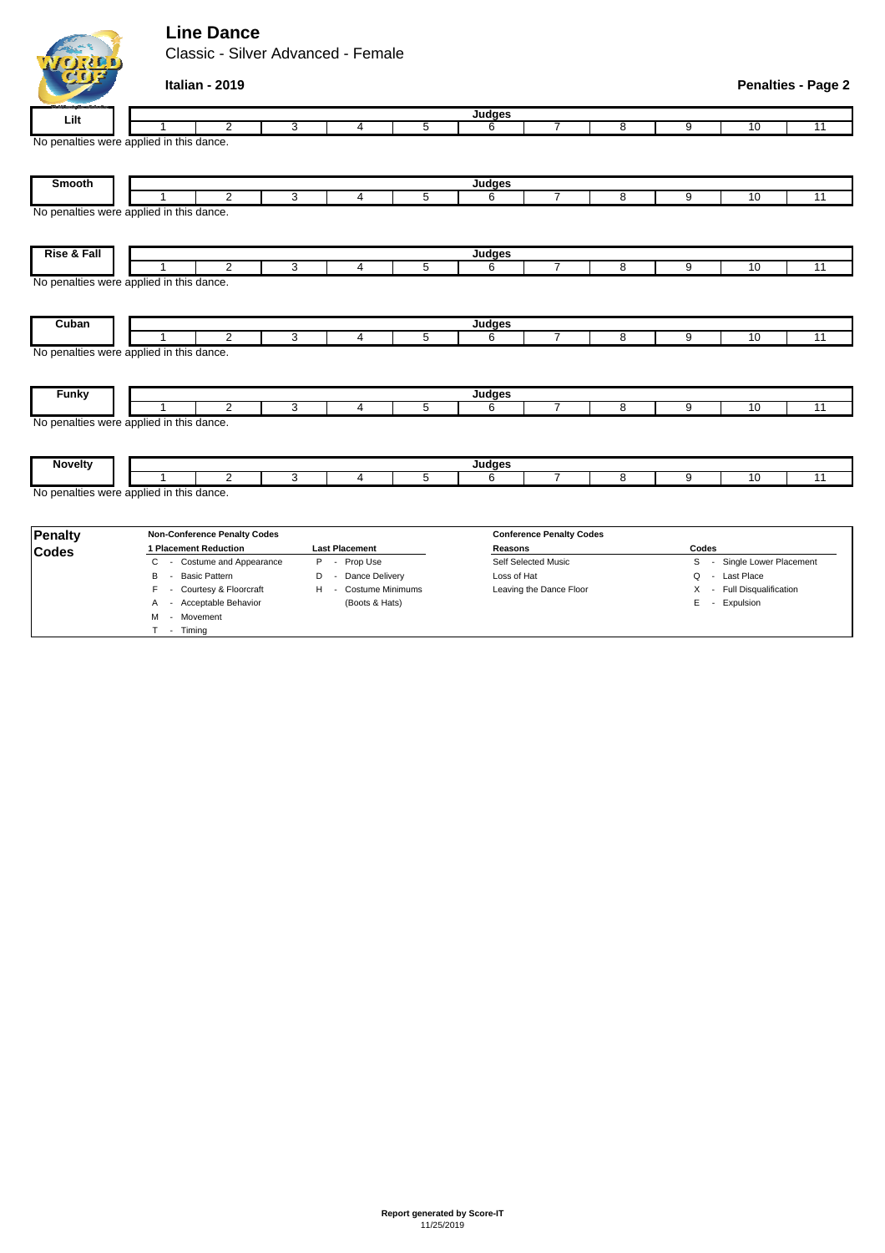## **Line Dance**

VORED

M - Movement T - Timing

Classic - Silver Advanced - Female

| <b>LID</b>     | Italian - 2019                           | <b>Penalties - Page 2</b> |                                 |   |                         |                |   |                            |    |                 |  |  |
|----------------|------------------------------------------|---------------------------|---------------------------------|---|-------------------------|----------------|---|----------------------------|----|-----------------|--|--|
| Lilt           | Judges                                   |                           |                                 |   |                         |                |   |                            |    |                 |  |  |
|                | 2                                        | 3                         | 4                               | 5 | 6                       | 7              | 8 | 9                          | 10 | $\overline{11}$ |  |  |
|                | No penalties were applied in this dance. |                           |                                 |   |                         |                |   |                            |    |                 |  |  |
| Smooth         |                                          |                           |                                 |   | Judges                  |                |   |                            |    |                 |  |  |
|                | $\overline{2}$                           | 3                         | 4                               | 5 | 6                       | $\overline{7}$ | 8 | 9                          | 10 | $\overline{11}$ |  |  |
|                | No penalties were applied in this dance. |                           |                                 |   |                         |                |   |                            |    |                 |  |  |
| Rise & Fall    | Judges                                   |                           |                                 |   |                         |                |   |                            |    |                 |  |  |
|                | $\overline{2}$<br>1                      | 3                         | 4                               | 5 | 6                       | $\overline{7}$ | 8 | 9                          | 10 | 11              |  |  |
|                | No penalties were applied in this dance. |                           |                                 |   |                         |                |   |                            |    |                 |  |  |
| Cuban          | 1                                        |                           |                                 |   | Judges                  |                |   |                            |    |                 |  |  |
|                | $\overline{2}$                           | 3                         | 4                               | 5 | 6                       | $\overline{7}$ | 8 | 9                          | 10 | 11              |  |  |
|                | No penalties were applied in this dance. |                           |                                 |   |                         |                |   |                            |    |                 |  |  |
| <b>Funky</b>   | Judges                                   |                           |                                 |   |                         |                |   |                            |    |                 |  |  |
|                | $\overline{2}$                           | 3                         | 4                               | 5 | 6                       | $\overline{7}$ | 8 | 9                          | 10 | $\overline{11}$ |  |  |
|                | No penalties were applied in this dance. |                           |                                 |   |                         |                |   |                            |    |                 |  |  |
| <b>Novelty</b> |                                          |                           |                                 |   | Judges                  |                |   |                            |    |                 |  |  |
|                | $\overline{2}$<br>1                      | 3                         | 4                               | 5 | 6                       | $\overline{7}$ | 8 | 9                          | 10 | $\overline{11}$ |  |  |
|                | No penalties were applied in this dance. |                           |                                 |   |                         |                |   |                            |    |                 |  |  |
| <b>Penalty</b> | <b>Non-Conference Penalty Codes</b>      |                           | <b>Conference Penalty Codes</b> |   |                         |                |   |                            |    |                 |  |  |
| <b>Codes</b>   | 1 Placement Reduction                    |                           | <b>Last Placement</b>           |   | Reasons                 |                |   | Codes                      |    |                 |  |  |
|                | - Costume and Appearance<br>С            |                           | P - Prop Use                    |   | Self Selected Music     |                |   | S - Single Lower Placement |    |                 |  |  |
|                | <b>Basic Pattern</b><br>B<br>$\sim$      | D                         | - Dance Delivery                |   | Loss of Hat             |                |   | - Last Place<br>Q          |    |                 |  |  |
|                | - Courtesy & Floorcraft<br>F.            |                           | H - Costume Minimums            |   | Leaving the Dance Floor |                |   | X - Full Disqualification  |    |                 |  |  |

A - Acceptable Behavior (Boots & Hats) E - Expulsion